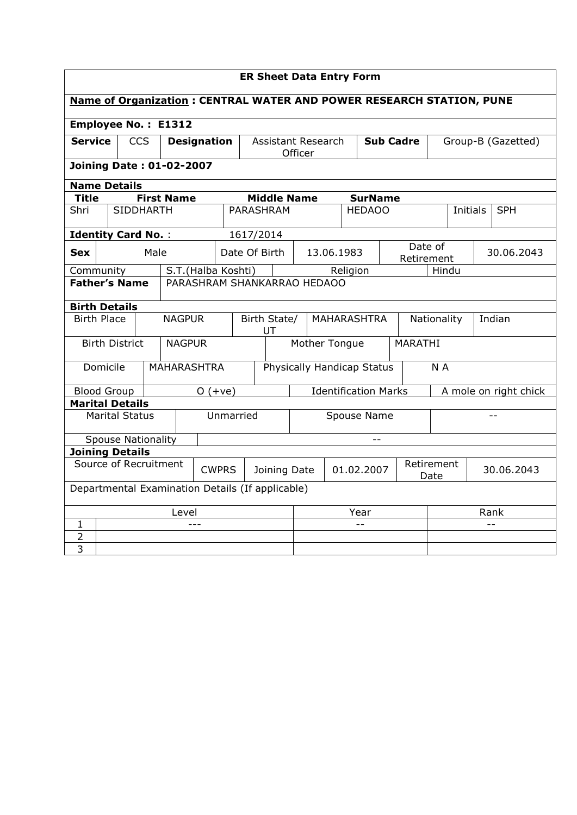|                                       | <b>ER Sheet Data Entry Form</b>                                       |                    |                   |                    |                          |                             |                    |                                                   |          |                                  |                |                       |                       |          |            |
|---------------------------------------|-----------------------------------------------------------------------|--------------------|-------------------|--------------------|--------------------------|-----------------------------|--------------------|---------------------------------------------------|----------|----------------------------------|----------------|-----------------------|-----------------------|----------|------------|
|                                       | Name of Organization : CENTRAL WATER AND POWER RESEARCH STATION, PUNE |                    |                   |                    |                          |                             |                    |                                                   |          |                                  |                |                       |                       |          |            |
|                                       | <b>Employee No.: E1312</b>                                            |                    |                   |                    |                          |                             |                    |                                                   |          |                                  |                |                       |                       |          |            |
| <b>Service</b>                        |                                                                       | <b>CCS</b>         |                   | <b>Designation</b> |                          |                             |                    | Assistant Research<br><b>Sub Cadre</b><br>Officer |          |                                  |                | Group-B (Gazetted)    |                       |          |            |
|                                       | <b>Joining Date: 01-02-2007</b>                                       |                    |                   |                    |                          |                             |                    |                                                   |          |                                  |                |                       |                       |          |            |
|                                       | <b>Name Details</b>                                                   |                    |                   |                    |                          |                             |                    |                                                   |          |                                  |                |                       |                       |          |            |
| <b>Title</b>                          |                                                                       |                    | <b>First Name</b> |                    |                          |                             | <b>Middle Name</b> |                                                   |          |                                  | <b>SurName</b> |                       |                       |          |            |
| Shri                                  |                                                                       | <b>SIDDHARTH</b>   |                   |                    |                          |                             | <b>PARASHRAM</b>   |                                                   |          | <b>HEDAOO</b>                    |                |                       |                       | Initials | <b>SPH</b> |
|                                       | <b>Identity Card No.:</b>                                             |                    |                   |                    |                          | 1617/2014                   |                    |                                                   |          |                                  |                |                       |                       |          |            |
| <b>Sex</b>                            |                                                                       | Male               |                   |                    | Date Of Birth            |                             |                    |                                                   |          | 13.06.1983                       |                |                       | Date of<br>Retirement |          | 30.06.2043 |
|                                       | S.T.(Halba Koshti)<br>Community                                       |                    |                   |                    |                          |                             |                    |                                                   | Religion |                                  |                | Hindu                 |                       |          |            |
|                                       | <b>Father's Name</b><br>PARASHRAM SHANKARRAO HEDAOO                   |                    |                   |                    |                          |                             |                    |                                                   |          |                                  |                |                       |                       |          |            |
|                                       | <b>Birth Details</b>                                                  |                    |                   |                    |                          |                             |                    |                                                   |          |                                  |                |                       |                       |          |            |
|                                       | <b>Birth Place</b>                                                    | <b>NAGPUR</b>      |                   |                    | Birth State/<br>UT       |                             |                    | <b>MAHARASHTRA</b>                                |          |                                  |                | Nationality<br>Indian |                       |          |            |
|                                       | <b>Birth District</b>                                                 |                    | <b>NAGPUR</b>     |                    |                          |                             |                    | Mother Tongue<br>MARATHI                          |          |                                  |                |                       |                       |          |            |
|                                       | Domicile                                                              | <b>MAHARASHTRA</b> |                   |                    |                          | Physically Handicap Status  |                    |                                                   |          |                                  |                |                       | N A                   |          |            |
|                                       | <b>Blood Group</b>                                                    |                    |                   | $O(+ye)$           |                          | <b>Identification Marks</b> |                    |                                                   |          |                                  |                |                       | A mole on right chick |          |            |
|                                       | <b>Marital Details</b>                                                |                    |                   |                    |                          |                             |                    |                                                   |          |                                  |                |                       |                       |          |            |
|                                       | <b>Marital Status</b>                                                 |                    |                   |                    | Unmarried<br>Spouse Name |                             |                    |                                                   |          | $=$ $=$                          |                |                       |                       |          |            |
|                                       | <b>Spouse Nationality</b>                                             |                    |                   |                    |                          |                             |                    |                                                   |          |                                  |                |                       |                       |          |            |
|                                       | <b>Joining Details</b>                                                |                    |                   |                    |                          |                             |                    |                                                   |          |                                  |                |                       |                       |          |            |
| Source of Recruitment<br><b>CWPRS</b> |                                                                       |                    |                   | Joining Date       |                          |                             |                    | 01.02.2007                                        |          | Retirement<br>30.06.2043<br>Date |                |                       |                       |          |            |
|                                       | Departmental Examination Details (If applicable)                      |                    |                   |                    |                          |                             |                    |                                                   |          |                                  |                |                       |                       |          |            |
|                                       | Level                                                                 |                    |                   |                    |                          |                             |                    |                                                   |          | Year                             |                |                       | Rank                  |          |            |
| 1                                     |                                                                       |                    |                   | $---$              |                          |                             |                    |                                                   |          | $-$                              |                |                       |                       |          | $- -$      |
| 2                                     |                                                                       |                    |                   |                    |                          |                             |                    |                                                   |          |                                  |                |                       |                       |          |            |
| $\overline{3}$                        |                                                                       |                    |                   |                    |                          |                             |                    |                                                   |          |                                  |                |                       |                       |          |            |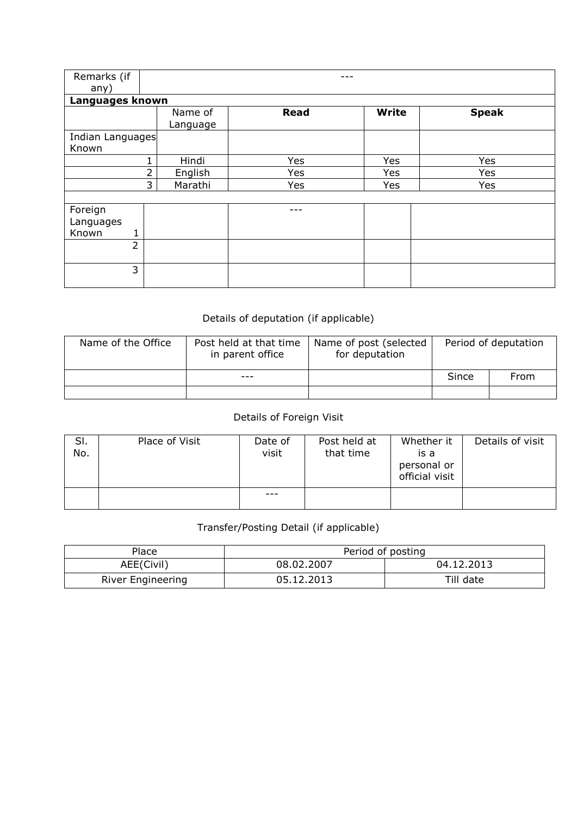| Remarks (if      |    |          |             |              |              |
|------------------|----|----------|-------------|--------------|--------------|
| any)             |    |          |             |              |              |
| Languages known  |    |          |             |              |              |
|                  |    | Name of  | <b>Read</b> | <b>Write</b> | <b>Speak</b> |
|                  |    | Language |             |              |              |
| Indian Languages |    |          |             |              |              |
| Known            |    |          |             |              |              |
|                  | 1. |          | Yes         | Yes          | Yes          |
|                  | 2  |          | Yes         | Yes          | Yes          |
| 3                |    | Marathi  | Yes         | Yes          | Yes          |
|                  |    |          |             |              |              |
| Foreign          |    |          |             |              |              |
| Languages        |    |          |             |              |              |
| Known            |    |          |             |              |              |
| $\overline{2}$   |    |          |             |              |              |
|                  |    |          |             |              |              |
| 3                |    |          |             |              |              |
|                  |    |          |             |              |              |

## Details of deputation (if applicable)

| Name of the Office | Post held at that time<br>in parent office | Name of post (selected<br>for deputation |       | Period of deputation |
|--------------------|--------------------------------------------|------------------------------------------|-------|----------------------|
|                    |                                            |                                          | Since | From                 |
|                    |                                            |                                          |       |                      |

## Details of Foreign Visit

| SI.<br>No. | Place of Visit | Date of<br>visit | Post held at<br>that time | Whether it<br>is a<br>personal or<br>official visit | Details of visit |
|------------|----------------|------------------|---------------------------|-----------------------------------------------------|------------------|
|            |                | ---              |                           |                                                     |                  |

## Transfer/Posting Detail (if applicable)

| Place                    |            | Period of posting |
|--------------------------|------------|-------------------|
| AEE(Civil)               | 08.02.2007 | 04.12.2013        |
| <b>River Engineering</b> | 05.12.2013 | Till date         |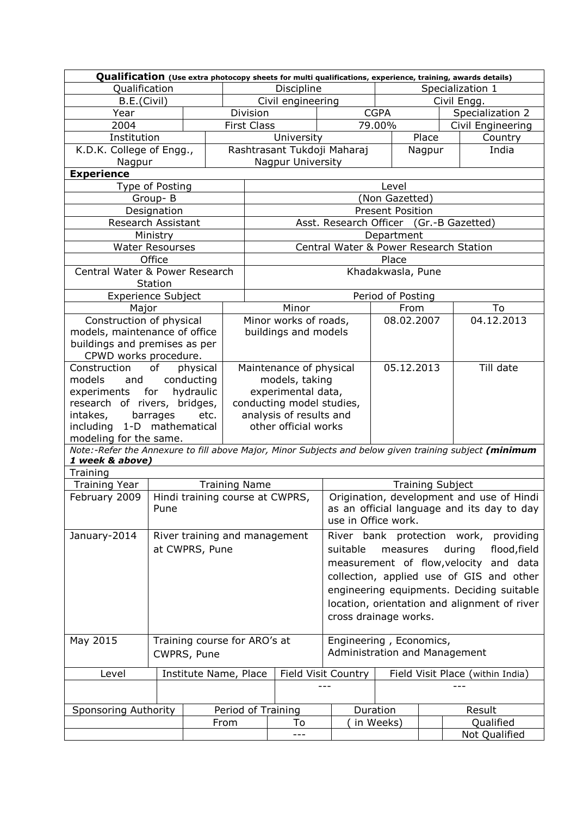| Qualification<br>Discipline<br>Specialization 1<br>B.E.(Civil)<br>Civil engineering<br>Civil Engg.<br>Specialization 2<br>Division<br><b>CGPA</b><br>Year<br>2004<br>79.00%<br>Civil Engineering<br><b>First Class</b><br>Institution<br>University<br>Place<br>Country<br>Rashtrasant Tukdoji Maharaj<br>K.D.K. College of Engg.,<br>India<br>Nagpur<br>Nagpur University<br>Nagpur<br><b>Experience</b><br>Type of Posting<br>Level<br>Group-B<br>(Non Gazetted)<br>Designation<br><b>Present Position</b><br>Asst. Research Officer (Gr.-B Gazetted)<br>Research Assistant<br>Ministry<br>Department<br>Central Water & Power Research Station<br><b>Water Resourses</b><br>Office<br>Place<br>Central Water & Power Research<br>Khadakwasla, Pune<br>Station<br>Period of Posting<br><b>Experience Subject</b><br>Minor<br>To<br>Major<br>From<br>Minor works of roads,<br>04.12.2013<br>Construction of physical<br>08.02.2007<br>buildings and models<br>models, maintenance of office<br>buildings and premises as per<br>CPWD works procedure.<br>05.12.2013<br>Till date<br>physical<br>Maintenance of physical<br>Construction<br>of<br>models, taking<br>conducting<br>models<br>and<br>experimental data,<br>hydraulic<br>experiments<br>for<br>conducting model studies,<br>research of rivers, bridges,<br>analysis of results and<br>intakes,<br>barrages<br>etc.<br>including 1-D mathematical<br>other official works<br>modeling for the same.<br>Note:-Refer the Annexure to fill above Major, Minor Subjects and below given training subject (minimum<br>1 week & above)<br>Training<br><b>Training Year</b><br><b>Training Name</b><br><b>Training Subject</b><br>Hindi training course at CWPRS,<br>Origination, development and use of Hindi<br>February 2009<br>as an official language and its day to day<br>Pune<br>use in Office work.<br>January-2014<br>River bank protection work,<br>providing<br>River training and management<br>at CWPRS, Pune<br>during<br>measures<br>flood, field<br>suitable<br>measurement of flow, velocity and data<br>collection, applied use of GIS and other<br>engineering equipments. Deciding suitable<br>location, orientation and alignment of river<br>cross drainage works.<br>May 2015<br>Training course for ARO's at<br>Engineering, Economics,<br>Administration and Management<br>CWPRS, Pune<br>Field Visit Country<br>Institute Name, Place<br>Field Visit Place (within India)<br>Level<br>Duration<br>Sponsoring Authority<br>Period of Training<br>Result<br>in Weeks)<br>Qualified<br>To<br>From<br>Not Qualified<br>--- |  | Qualification (Use extra photocopy sheets for multi qualifications, experience, training, awards details) |  |  |  |  |  |  |  |  |  |  |  |
|---------------------------------------------------------------------------------------------------------------------------------------------------------------------------------------------------------------------------------------------------------------------------------------------------------------------------------------------------------------------------------------------------------------------------------------------------------------------------------------------------------------------------------------------------------------------------------------------------------------------------------------------------------------------------------------------------------------------------------------------------------------------------------------------------------------------------------------------------------------------------------------------------------------------------------------------------------------------------------------------------------------------------------------------------------------------------------------------------------------------------------------------------------------------------------------------------------------------------------------------------------------------------------------------------------------------------------------------------------------------------------------------------------------------------------------------------------------------------------------------------------------------------------------------------------------------------------------------------------------------------------------------------------------------------------------------------------------------------------------------------------------------------------------------------------------------------------------------------------------------------------------------------------------------------------------------------------------------------------------------------------------------------------------------------------------------------------------------------------------------------------------------------------------------------------------------------------------------------------------------------------------------------------------------------------------------------------------------------------------------------------------------------------------------------------------------------------------------------------------------------------------------------------------------------------------------------------------------------------|--|-----------------------------------------------------------------------------------------------------------|--|--|--|--|--|--|--|--|--|--|--|
|                                                                                                                                                                                                                                                                                                                                                                                                                                                                                                                                                                                                                                                                                                                                                                                                                                                                                                                                                                                                                                                                                                                                                                                                                                                                                                                                                                                                                                                                                                                                                                                                                                                                                                                                                                                                                                                                                                                                                                                                                                                                                                                                                                                                                                                                                                                                                                                                                                                                                                                                                                                                         |  |                                                                                                           |  |  |  |  |  |  |  |  |  |  |  |
|                                                                                                                                                                                                                                                                                                                                                                                                                                                                                                                                                                                                                                                                                                                                                                                                                                                                                                                                                                                                                                                                                                                                                                                                                                                                                                                                                                                                                                                                                                                                                                                                                                                                                                                                                                                                                                                                                                                                                                                                                                                                                                                                                                                                                                                                                                                                                                                                                                                                                                                                                                                                         |  |                                                                                                           |  |  |  |  |  |  |  |  |  |  |  |
|                                                                                                                                                                                                                                                                                                                                                                                                                                                                                                                                                                                                                                                                                                                                                                                                                                                                                                                                                                                                                                                                                                                                                                                                                                                                                                                                                                                                                                                                                                                                                                                                                                                                                                                                                                                                                                                                                                                                                                                                                                                                                                                                                                                                                                                                                                                                                                                                                                                                                                                                                                                                         |  |                                                                                                           |  |  |  |  |  |  |  |  |  |  |  |
|                                                                                                                                                                                                                                                                                                                                                                                                                                                                                                                                                                                                                                                                                                                                                                                                                                                                                                                                                                                                                                                                                                                                                                                                                                                                                                                                                                                                                                                                                                                                                                                                                                                                                                                                                                                                                                                                                                                                                                                                                                                                                                                                                                                                                                                                                                                                                                                                                                                                                                                                                                                                         |  |                                                                                                           |  |  |  |  |  |  |  |  |  |  |  |
|                                                                                                                                                                                                                                                                                                                                                                                                                                                                                                                                                                                                                                                                                                                                                                                                                                                                                                                                                                                                                                                                                                                                                                                                                                                                                                                                                                                                                                                                                                                                                                                                                                                                                                                                                                                                                                                                                                                                                                                                                                                                                                                                                                                                                                                                                                                                                                                                                                                                                                                                                                                                         |  |                                                                                                           |  |  |  |  |  |  |  |  |  |  |  |
|                                                                                                                                                                                                                                                                                                                                                                                                                                                                                                                                                                                                                                                                                                                                                                                                                                                                                                                                                                                                                                                                                                                                                                                                                                                                                                                                                                                                                                                                                                                                                                                                                                                                                                                                                                                                                                                                                                                                                                                                                                                                                                                                                                                                                                                                                                                                                                                                                                                                                                                                                                                                         |  |                                                                                                           |  |  |  |  |  |  |  |  |  |  |  |
|                                                                                                                                                                                                                                                                                                                                                                                                                                                                                                                                                                                                                                                                                                                                                                                                                                                                                                                                                                                                                                                                                                                                                                                                                                                                                                                                                                                                                                                                                                                                                                                                                                                                                                                                                                                                                                                                                                                                                                                                                                                                                                                                                                                                                                                                                                                                                                                                                                                                                                                                                                                                         |  |                                                                                                           |  |  |  |  |  |  |  |  |  |  |  |
|                                                                                                                                                                                                                                                                                                                                                                                                                                                                                                                                                                                                                                                                                                                                                                                                                                                                                                                                                                                                                                                                                                                                                                                                                                                                                                                                                                                                                                                                                                                                                                                                                                                                                                                                                                                                                                                                                                                                                                                                                                                                                                                                                                                                                                                                                                                                                                                                                                                                                                                                                                                                         |  |                                                                                                           |  |  |  |  |  |  |  |  |  |  |  |
|                                                                                                                                                                                                                                                                                                                                                                                                                                                                                                                                                                                                                                                                                                                                                                                                                                                                                                                                                                                                                                                                                                                                                                                                                                                                                                                                                                                                                                                                                                                                                                                                                                                                                                                                                                                                                                                                                                                                                                                                                                                                                                                                                                                                                                                                                                                                                                                                                                                                                                                                                                                                         |  |                                                                                                           |  |  |  |  |  |  |  |  |  |  |  |
|                                                                                                                                                                                                                                                                                                                                                                                                                                                                                                                                                                                                                                                                                                                                                                                                                                                                                                                                                                                                                                                                                                                                                                                                                                                                                                                                                                                                                                                                                                                                                                                                                                                                                                                                                                                                                                                                                                                                                                                                                                                                                                                                                                                                                                                                                                                                                                                                                                                                                                                                                                                                         |  |                                                                                                           |  |  |  |  |  |  |  |  |  |  |  |
|                                                                                                                                                                                                                                                                                                                                                                                                                                                                                                                                                                                                                                                                                                                                                                                                                                                                                                                                                                                                                                                                                                                                                                                                                                                                                                                                                                                                                                                                                                                                                                                                                                                                                                                                                                                                                                                                                                                                                                                                                                                                                                                                                                                                                                                                                                                                                                                                                                                                                                                                                                                                         |  |                                                                                                           |  |  |  |  |  |  |  |  |  |  |  |
|                                                                                                                                                                                                                                                                                                                                                                                                                                                                                                                                                                                                                                                                                                                                                                                                                                                                                                                                                                                                                                                                                                                                                                                                                                                                                                                                                                                                                                                                                                                                                                                                                                                                                                                                                                                                                                                                                                                                                                                                                                                                                                                                                                                                                                                                                                                                                                                                                                                                                                                                                                                                         |  |                                                                                                           |  |  |  |  |  |  |  |  |  |  |  |
|                                                                                                                                                                                                                                                                                                                                                                                                                                                                                                                                                                                                                                                                                                                                                                                                                                                                                                                                                                                                                                                                                                                                                                                                                                                                                                                                                                                                                                                                                                                                                                                                                                                                                                                                                                                                                                                                                                                                                                                                                                                                                                                                                                                                                                                                                                                                                                                                                                                                                                                                                                                                         |  |                                                                                                           |  |  |  |  |  |  |  |  |  |  |  |
|                                                                                                                                                                                                                                                                                                                                                                                                                                                                                                                                                                                                                                                                                                                                                                                                                                                                                                                                                                                                                                                                                                                                                                                                                                                                                                                                                                                                                                                                                                                                                                                                                                                                                                                                                                                                                                                                                                                                                                                                                                                                                                                                                                                                                                                                                                                                                                                                                                                                                                                                                                                                         |  |                                                                                                           |  |  |  |  |  |  |  |  |  |  |  |
|                                                                                                                                                                                                                                                                                                                                                                                                                                                                                                                                                                                                                                                                                                                                                                                                                                                                                                                                                                                                                                                                                                                                                                                                                                                                                                                                                                                                                                                                                                                                                                                                                                                                                                                                                                                                                                                                                                                                                                                                                                                                                                                                                                                                                                                                                                                                                                                                                                                                                                                                                                                                         |  |                                                                                                           |  |  |  |  |  |  |  |  |  |  |  |
|                                                                                                                                                                                                                                                                                                                                                                                                                                                                                                                                                                                                                                                                                                                                                                                                                                                                                                                                                                                                                                                                                                                                                                                                                                                                                                                                                                                                                                                                                                                                                                                                                                                                                                                                                                                                                                                                                                                                                                                                                                                                                                                                                                                                                                                                                                                                                                                                                                                                                                                                                                                                         |  |                                                                                                           |  |  |  |  |  |  |  |  |  |  |  |
|                                                                                                                                                                                                                                                                                                                                                                                                                                                                                                                                                                                                                                                                                                                                                                                                                                                                                                                                                                                                                                                                                                                                                                                                                                                                                                                                                                                                                                                                                                                                                                                                                                                                                                                                                                                                                                                                                                                                                                                                                                                                                                                                                                                                                                                                                                                                                                                                                                                                                                                                                                                                         |  |                                                                                                           |  |  |  |  |  |  |  |  |  |  |  |
|                                                                                                                                                                                                                                                                                                                                                                                                                                                                                                                                                                                                                                                                                                                                                                                                                                                                                                                                                                                                                                                                                                                                                                                                                                                                                                                                                                                                                                                                                                                                                                                                                                                                                                                                                                                                                                                                                                                                                                                                                                                                                                                                                                                                                                                                                                                                                                                                                                                                                                                                                                                                         |  |                                                                                                           |  |  |  |  |  |  |  |  |  |  |  |
|                                                                                                                                                                                                                                                                                                                                                                                                                                                                                                                                                                                                                                                                                                                                                                                                                                                                                                                                                                                                                                                                                                                                                                                                                                                                                                                                                                                                                                                                                                                                                                                                                                                                                                                                                                                                                                                                                                                                                                                                                                                                                                                                                                                                                                                                                                                                                                                                                                                                                                                                                                                                         |  |                                                                                                           |  |  |  |  |  |  |  |  |  |  |  |
|                                                                                                                                                                                                                                                                                                                                                                                                                                                                                                                                                                                                                                                                                                                                                                                                                                                                                                                                                                                                                                                                                                                                                                                                                                                                                                                                                                                                                                                                                                                                                                                                                                                                                                                                                                                                                                                                                                                                                                                                                                                                                                                                                                                                                                                                                                                                                                                                                                                                                                                                                                                                         |  |                                                                                                           |  |  |  |  |  |  |  |  |  |  |  |
|                                                                                                                                                                                                                                                                                                                                                                                                                                                                                                                                                                                                                                                                                                                                                                                                                                                                                                                                                                                                                                                                                                                                                                                                                                                                                                                                                                                                                                                                                                                                                                                                                                                                                                                                                                                                                                                                                                                                                                                                                                                                                                                                                                                                                                                                                                                                                                                                                                                                                                                                                                                                         |  |                                                                                                           |  |  |  |  |  |  |  |  |  |  |  |
|                                                                                                                                                                                                                                                                                                                                                                                                                                                                                                                                                                                                                                                                                                                                                                                                                                                                                                                                                                                                                                                                                                                                                                                                                                                                                                                                                                                                                                                                                                                                                                                                                                                                                                                                                                                                                                                                                                                                                                                                                                                                                                                                                                                                                                                                                                                                                                                                                                                                                                                                                                                                         |  |                                                                                                           |  |  |  |  |  |  |  |  |  |  |  |
|                                                                                                                                                                                                                                                                                                                                                                                                                                                                                                                                                                                                                                                                                                                                                                                                                                                                                                                                                                                                                                                                                                                                                                                                                                                                                                                                                                                                                                                                                                                                                                                                                                                                                                                                                                                                                                                                                                                                                                                                                                                                                                                                                                                                                                                                                                                                                                                                                                                                                                                                                                                                         |  |                                                                                                           |  |  |  |  |  |  |  |  |  |  |  |
|                                                                                                                                                                                                                                                                                                                                                                                                                                                                                                                                                                                                                                                                                                                                                                                                                                                                                                                                                                                                                                                                                                                                                                                                                                                                                                                                                                                                                                                                                                                                                                                                                                                                                                                                                                                                                                                                                                                                                                                                                                                                                                                                                                                                                                                                                                                                                                                                                                                                                                                                                                                                         |  |                                                                                                           |  |  |  |  |  |  |  |  |  |  |  |
|                                                                                                                                                                                                                                                                                                                                                                                                                                                                                                                                                                                                                                                                                                                                                                                                                                                                                                                                                                                                                                                                                                                                                                                                                                                                                                                                                                                                                                                                                                                                                                                                                                                                                                                                                                                                                                                                                                                                                                                                                                                                                                                                                                                                                                                                                                                                                                                                                                                                                                                                                                                                         |  |                                                                                                           |  |  |  |  |  |  |  |  |  |  |  |
|                                                                                                                                                                                                                                                                                                                                                                                                                                                                                                                                                                                                                                                                                                                                                                                                                                                                                                                                                                                                                                                                                                                                                                                                                                                                                                                                                                                                                                                                                                                                                                                                                                                                                                                                                                                                                                                                                                                                                                                                                                                                                                                                                                                                                                                                                                                                                                                                                                                                                                                                                                                                         |  |                                                                                                           |  |  |  |  |  |  |  |  |  |  |  |
|                                                                                                                                                                                                                                                                                                                                                                                                                                                                                                                                                                                                                                                                                                                                                                                                                                                                                                                                                                                                                                                                                                                                                                                                                                                                                                                                                                                                                                                                                                                                                                                                                                                                                                                                                                                                                                                                                                                                                                                                                                                                                                                                                                                                                                                                                                                                                                                                                                                                                                                                                                                                         |  |                                                                                                           |  |  |  |  |  |  |  |  |  |  |  |
|                                                                                                                                                                                                                                                                                                                                                                                                                                                                                                                                                                                                                                                                                                                                                                                                                                                                                                                                                                                                                                                                                                                                                                                                                                                                                                                                                                                                                                                                                                                                                                                                                                                                                                                                                                                                                                                                                                                                                                                                                                                                                                                                                                                                                                                                                                                                                                                                                                                                                                                                                                                                         |  |                                                                                                           |  |  |  |  |  |  |  |  |  |  |  |
|                                                                                                                                                                                                                                                                                                                                                                                                                                                                                                                                                                                                                                                                                                                                                                                                                                                                                                                                                                                                                                                                                                                                                                                                                                                                                                                                                                                                                                                                                                                                                                                                                                                                                                                                                                                                                                                                                                                                                                                                                                                                                                                                                                                                                                                                                                                                                                                                                                                                                                                                                                                                         |  |                                                                                                           |  |  |  |  |  |  |  |  |  |  |  |
|                                                                                                                                                                                                                                                                                                                                                                                                                                                                                                                                                                                                                                                                                                                                                                                                                                                                                                                                                                                                                                                                                                                                                                                                                                                                                                                                                                                                                                                                                                                                                                                                                                                                                                                                                                                                                                                                                                                                                                                                                                                                                                                                                                                                                                                                                                                                                                                                                                                                                                                                                                                                         |  |                                                                                                           |  |  |  |  |  |  |  |  |  |  |  |
|                                                                                                                                                                                                                                                                                                                                                                                                                                                                                                                                                                                                                                                                                                                                                                                                                                                                                                                                                                                                                                                                                                                                                                                                                                                                                                                                                                                                                                                                                                                                                                                                                                                                                                                                                                                                                                                                                                                                                                                                                                                                                                                                                                                                                                                                                                                                                                                                                                                                                                                                                                                                         |  |                                                                                                           |  |  |  |  |  |  |  |  |  |  |  |
|                                                                                                                                                                                                                                                                                                                                                                                                                                                                                                                                                                                                                                                                                                                                                                                                                                                                                                                                                                                                                                                                                                                                                                                                                                                                                                                                                                                                                                                                                                                                                                                                                                                                                                                                                                                                                                                                                                                                                                                                                                                                                                                                                                                                                                                                                                                                                                                                                                                                                                                                                                                                         |  |                                                                                                           |  |  |  |  |  |  |  |  |  |  |  |
|                                                                                                                                                                                                                                                                                                                                                                                                                                                                                                                                                                                                                                                                                                                                                                                                                                                                                                                                                                                                                                                                                                                                                                                                                                                                                                                                                                                                                                                                                                                                                                                                                                                                                                                                                                                                                                                                                                                                                                                                                                                                                                                                                                                                                                                                                                                                                                                                                                                                                                                                                                                                         |  |                                                                                                           |  |  |  |  |  |  |  |  |  |  |  |
|                                                                                                                                                                                                                                                                                                                                                                                                                                                                                                                                                                                                                                                                                                                                                                                                                                                                                                                                                                                                                                                                                                                                                                                                                                                                                                                                                                                                                                                                                                                                                                                                                                                                                                                                                                                                                                                                                                                                                                                                                                                                                                                                                                                                                                                                                                                                                                                                                                                                                                                                                                                                         |  |                                                                                                           |  |  |  |  |  |  |  |  |  |  |  |
|                                                                                                                                                                                                                                                                                                                                                                                                                                                                                                                                                                                                                                                                                                                                                                                                                                                                                                                                                                                                                                                                                                                                                                                                                                                                                                                                                                                                                                                                                                                                                                                                                                                                                                                                                                                                                                                                                                                                                                                                                                                                                                                                                                                                                                                                                                                                                                                                                                                                                                                                                                                                         |  |                                                                                                           |  |  |  |  |  |  |  |  |  |  |  |
|                                                                                                                                                                                                                                                                                                                                                                                                                                                                                                                                                                                                                                                                                                                                                                                                                                                                                                                                                                                                                                                                                                                                                                                                                                                                                                                                                                                                                                                                                                                                                                                                                                                                                                                                                                                                                                                                                                                                                                                                                                                                                                                                                                                                                                                                                                                                                                                                                                                                                                                                                                                                         |  |                                                                                                           |  |  |  |  |  |  |  |  |  |  |  |
|                                                                                                                                                                                                                                                                                                                                                                                                                                                                                                                                                                                                                                                                                                                                                                                                                                                                                                                                                                                                                                                                                                                                                                                                                                                                                                                                                                                                                                                                                                                                                                                                                                                                                                                                                                                                                                                                                                                                                                                                                                                                                                                                                                                                                                                                                                                                                                                                                                                                                                                                                                                                         |  |                                                                                                           |  |  |  |  |  |  |  |  |  |  |  |
|                                                                                                                                                                                                                                                                                                                                                                                                                                                                                                                                                                                                                                                                                                                                                                                                                                                                                                                                                                                                                                                                                                                                                                                                                                                                                                                                                                                                                                                                                                                                                                                                                                                                                                                                                                                                                                                                                                                                                                                                                                                                                                                                                                                                                                                                                                                                                                                                                                                                                                                                                                                                         |  |                                                                                                           |  |  |  |  |  |  |  |  |  |  |  |
|                                                                                                                                                                                                                                                                                                                                                                                                                                                                                                                                                                                                                                                                                                                                                                                                                                                                                                                                                                                                                                                                                                                                                                                                                                                                                                                                                                                                                                                                                                                                                                                                                                                                                                                                                                                                                                                                                                                                                                                                                                                                                                                                                                                                                                                                                                                                                                                                                                                                                                                                                                                                         |  |                                                                                                           |  |  |  |  |  |  |  |  |  |  |  |
|                                                                                                                                                                                                                                                                                                                                                                                                                                                                                                                                                                                                                                                                                                                                                                                                                                                                                                                                                                                                                                                                                                                                                                                                                                                                                                                                                                                                                                                                                                                                                                                                                                                                                                                                                                                                                                                                                                                                                                                                                                                                                                                                                                                                                                                                                                                                                                                                                                                                                                                                                                                                         |  |                                                                                                           |  |  |  |  |  |  |  |  |  |  |  |
|                                                                                                                                                                                                                                                                                                                                                                                                                                                                                                                                                                                                                                                                                                                                                                                                                                                                                                                                                                                                                                                                                                                                                                                                                                                                                                                                                                                                                                                                                                                                                                                                                                                                                                                                                                                                                                                                                                                                                                                                                                                                                                                                                                                                                                                                                                                                                                                                                                                                                                                                                                                                         |  |                                                                                                           |  |  |  |  |  |  |  |  |  |  |  |
|                                                                                                                                                                                                                                                                                                                                                                                                                                                                                                                                                                                                                                                                                                                                                                                                                                                                                                                                                                                                                                                                                                                                                                                                                                                                                                                                                                                                                                                                                                                                                                                                                                                                                                                                                                                                                                                                                                                                                                                                                                                                                                                                                                                                                                                                                                                                                                                                                                                                                                                                                                                                         |  |                                                                                                           |  |  |  |  |  |  |  |  |  |  |  |
|                                                                                                                                                                                                                                                                                                                                                                                                                                                                                                                                                                                                                                                                                                                                                                                                                                                                                                                                                                                                                                                                                                                                                                                                                                                                                                                                                                                                                                                                                                                                                                                                                                                                                                                                                                                                                                                                                                                                                                                                                                                                                                                                                                                                                                                                                                                                                                                                                                                                                                                                                                                                         |  |                                                                                                           |  |  |  |  |  |  |  |  |  |  |  |
|                                                                                                                                                                                                                                                                                                                                                                                                                                                                                                                                                                                                                                                                                                                                                                                                                                                                                                                                                                                                                                                                                                                                                                                                                                                                                                                                                                                                                                                                                                                                                                                                                                                                                                                                                                                                                                                                                                                                                                                                                                                                                                                                                                                                                                                                                                                                                                                                                                                                                                                                                                                                         |  |                                                                                                           |  |  |  |  |  |  |  |  |  |  |  |
|                                                                                                                                                                                                                                                                                                                                                                                                                                                                                                                                                                                                                                                                                                                                                                                                                                                                                                                                                                                                                                                                                                                                                                                                                                                                                                                                                                                                                                                                                                                                                                                                                                                                                                                                                                                                                                                                                                                                                                                                                                                                                                                                                                                                                                                                                                                                                                                                                                                                                                                                                                                                         |  |                                                                                                           |  |  |  |  |  |  |  |  |  |  |  |
|                                                                                                                                                                                                                                                                                                                                                                                                                                                                                                                                                                                                                                                                                                                                                                                                                                                                                                                                                                                                                                                                                                                                                                                                                                                                                                                                                                                                                                                                                                                                                                                                                                                                                                                                                                                                                                                                                                                                                                                                                                                                                                                                                                                                                                                                                                                                                                                                                                                                                                                                                                                                         |  |                                                                                                           |  |  |  |  |  |  |  |  |  |  |  |
|                                                                                                                                                                                                                                                                                                                                                                                                                                                                                                                                                                                                                                                                                                                                                                                                                                                                                                                                                                                                                                                                                                                                                                                                                                                                                                                                                                                                                                                                                                                                                                                                                                                                                                                                                                                                                                                                                                                                                                                                                                                                                                                                                                                                                                                                                                                                                                                                                                                                                                                                                                                                         |  |                                                                                                           |  |  |  |  |  |  |  |  |  |  |  |
|                                                                                                                                                                                                                                                                                                                                                                                                                                                                                                                                                                                                                                                                                                                                                                                                                                                                                                                                                                                                                                                                                                                                                                                                                                                                                                                                                                                                                                                                                                                                                                                                                                                                                                                                                                                                                                                                                                                                                                                                                                                                                                                                                                                                                                                                                                                                                                                                                                                                                                                                                                                                         |  |                                                                                                           |  |  |  |  |  |  |  |  |  |  |  |
|                                                                                                                                                                                                                                                                                                                                                                                                                                                                                                                                                                                                                                                                                                                                                                                                                                                                                                                                                                                                                                                                                                                                                                                                                                                                                                                                                                                                                                                                                                                                                                                                                                                                                                                                                                                                                                                                                                                                                                                                                                                                                                                                                                                                                                                                                                                                                                                                                                                                                                                                                                                                         |  |                                                                                                           |  |  |  |  |  |  |  |  |  |  |  |
|                                                                                                                                                                                                                                                                                                                                                                                                                                                                                                                                                                                                                                                                                                                                                                                                                                                                                                                                                                                                                                                                                                                                                                                                                                                                                                                                                                                                                                                                                                                                                                                                                                                                                                                                                                                                                                                                                                                                                                                                                                                                                                                                                                                                                                                                                                                                                                                                                                                                                                                                                                                                         |  |                                                                                                           |  |  |  |  |  |  |  |  |  |  |  |
|                                                                                                                                                                                                                                                                                                                                                                                                                                                                                                                                                                                                                                                                                                                                                                                                                                                                                                                                                                                                                                                                                                                                                                                                                                                                                                                                                                                                                                                                                                                                                                                                                                                                                                                                                                                                                                                                                                                                                                                                                                                                                                                                                                                                                                                                                                                                                                                                                                                                                                                                                                                                         |  |                                                                                                           |  |  |  |  |  |  |  |  |  |  |  |
|                                                                                                                                                                                                                                                                                                                                                                                                                                                                                                                                                                                                                                                                                                                                                                                                                                                                                                                                                                                                                                                                                                                                                                                                                                                                                                                                                                                                                                                                                                                                                                                                                                                                                                                                                                                                                                                                                                                                                                                                                                                                                                                                                                                                                                                                                                                                                                                                                                                                                                                                                                                                         |  |                                                                                                           |  |  |  |  |  |  |  |  |  |  |  |